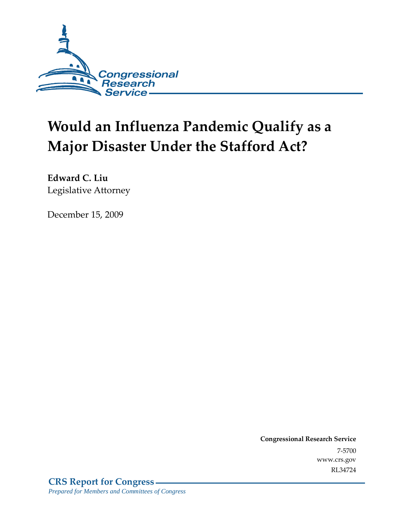

# **Would an Influenza Pandemic Qualify as a Major Disaster Under the Stafford Act?**

**Edward C. Liu**  Legislative Attorney

December 15, 2009

**Congressional Research Service** 7-5700 www.crs.gov RL34724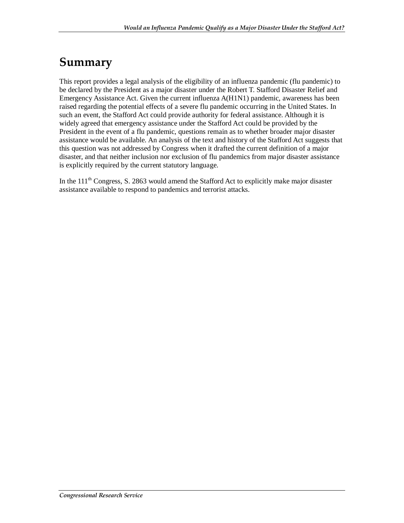# **Summary**

This report provides a legal analysis of the eligibility of an influenza pandemic (flu pandemic) to be declared by the President as a major disaster under the Robert T. Stafford Disaster Relief and Emergency Assistance Act. Given the current influenza A(H1N1) pandemic, awareness has been raised regarding the potential effects of a severe flu pandemic occurring in the United States. In such an event, the Stafford Act could provide authority for federal assistance. Although it is widely agreed that emergency assistance under the Stafford Act could be provided by the President in the event of a flu pandemic, questions remain as to whether broader major disaster assistance would be available. An analysis of the text and history of the Stafford Act suggests that this question was not addressed by Congress when it drafted the current definition of a major disaster, and that neither inclusion nor exclusion of flu pandemics from major disaster assistance is explicitly required by the current statutory language.

In the  $111<sup>th</sup>$  Congress, S. 2863 would amend the Stafford Act to explicitly make major disaster assistance available to respond to pandemics and terrorist attacks.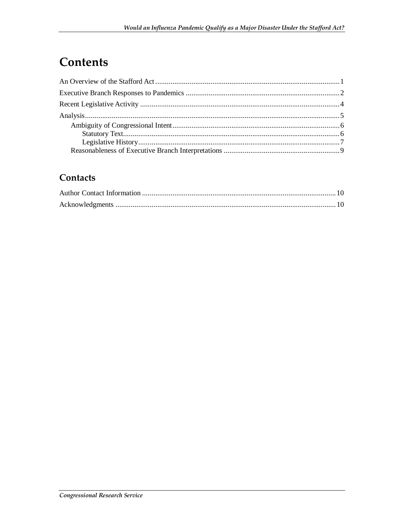# Contents

### Contacts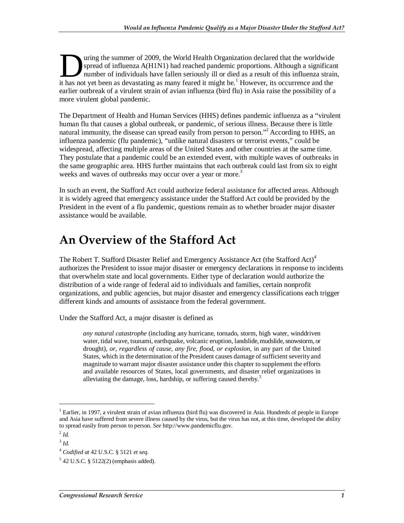uring the summer of 2009, the World Health Organization declared that the worldwide spread of influenza A(H1N1) had reached pandemic proportions. Although a significant number of individuals have fallen seriously ill or died as a result of this influenza strain, It has not yet been as devastating as many feared it might be.<sup>1</sup> However, its occurrence and the might be.<sup>1</sup> However, its occurrence and the might be.<sup>1</sup> However, its occurrence and the stating as many feared it might be earlier outbreak of a virulent strain of avian influenza (bird flu) in Asia raise the possibility of a more virulent global pandemic.

The Department of Health and Human Services (HHS) defines pandemic influenza as a "virulent human flu that causes a global outbreak, or pandemic, of serious illness. Because there is little natural immunity, the disease can spread easily from person to person."<sup>2</sup> According to HHS, an influenza pandemic (flu pandemic), "unlike natural disasters or terrorist events," could be widespread, affecting multiple areas of the United States and other countries at the same time. They postulate that a pandemic could be an extended event, with multiple waves of outbreaks in the same geographic area. HHS further maintains that each outbreak could last from six to eight weeks and waves of outbreaks may occur over a year or more.<sup>3</sup>

In such an event, the Stafford Act could authorize federal assistance for affected areas. Although it is widely agreed that emergency assistance under the Stafford Act could be provided by the President in the event of a flu pandemic, questions remain as to whether broader major disaster assistance would be available.

# **An Overview of the Stafford Act**

The Robert T. Stafford Disaster Relief and Emergency Assistance Act (the Stafford Act)<sup>4</sup> authorizes the President to issue major disaster or emergency declarations in response to incidents that overwhelm state and local governments. Either type of declaration would authorize the distribution of a wide range of federal aid to individuals and families, certain nonprofit organizations, and public agencies, but major disaster and emergency classifications each trigger different kinds and amounts of assistance from the federal government.

Under the Stafford Act, a major disaster is defined as

*any natural catastrophe* (including any hurricane, tornado, storm, high water, winddriven water, tidal wave, tsunami, earthquake, volcanic eruption, landslide, mudslide, snowstorm, or drought), *or, regardless of cause, any fire, flood, or explosion,* in any part of the United States, which in the determination of the President causes damage of sufficient severity and magnitude to warrant major disaster assistance under this chapter to supplement the efforts and available resources of States, local governments, and disaster relief organizations in alleviating the damage, loss, hardship, or suffering caused thereby.<sup>5</sup>

<u>.</u>

<sup>&</sup>lt;sup>1</sup> Earlier, in 1997, a virulent strain of avian influenza (bird flu) was discovered in Asia. Hundreds of people in Europe and Asia have suffered from severe illness caused by the virus, but the virus has not, at this time, developed the ability to spread easily from person to person. *See* http://www.pandemicflu.gov.

 $^{2}$  *Id.* 

<sup>3</sup> *Id.*

<sup>4</sup> *Codified at* 42 U.S.C. § 5121 *et seq*.

<sup>5</sup> 42 U.S.C. § 5122(2) (emphasis added).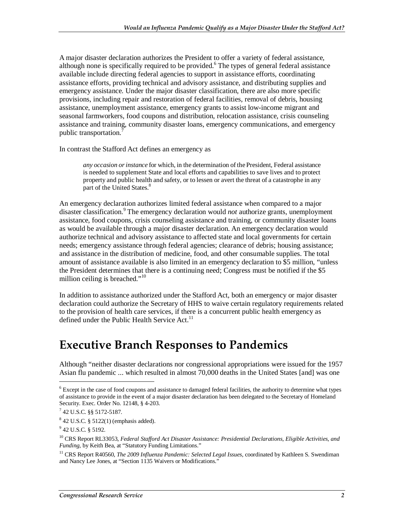A major disaster declaration authorizes the President to offer a variety of federal assistance, although none is specifically required to be provided.<sup>6</sup> The types of general federal assistance available include directing federal agencies to support in assistance efforts, coordinating assistance efforts, providing technical and advisory assistance, and distributing supplies and emergency assistance. Under the major disaster classification, there are also more specific provisions, including repair and restoration of federal facilities, removal of debris, housing assistance, unemployment assistance, emergency grants to assist low-income migrant and seasonal farmworkers, food coupons and distribution, relocation assistance, crisis counseling assistance and training, community disaster loans, emergency communications, and emergency public transportation.

In contrast the Stafford Act defines an emergency as

*any occasion or instance* for which, in the determination of the President, Federal assistance is needed to supplement State and local efforts and capabilities to save lives and to protect property and public health and safety, or to lessen or avert the threat of a catastrophe in any part of the United States.<sup>8</sup>

An emergency declaration authorizes limited federal assistance when compared to a major disaster classification.<sup>9</sup> The emergency declaration would *not* authorize grants, unemployment assistance, food coupons, crisis counseling assistance and training, or community disaster loans as would be available through a major disaster declaration. An emergency declaration would authorize technical and advisory assistance to affected state and local governments for certain needs; emergency assistance through federal agencies; clearance of debris; housing assistance; and assistance in the distribution of medicine, food, and other consumable supplies. The total amount of assistance available is also limited in an emergency declaration to \$5 million, "unless the President determines that there is a continuing need; Congress must be notified if the \$5 million ceiling is breached."<sup>10</sup>

In addition to assistance authorized under the Stafford Act, both an emergency or major disaster declaration could authorize the Secretary of HHS to waive certain regulatory requirements related to the provision of health care services, if there is a concurrent public health emergency as defined under the Public Health Service Act. $^{11}$ 

## **Executive Branch Responses to Pandemics**

Although "neither disaster declarations nor congressional appropriations were issued for the 1957 Asian flu pandemic ... which resulted in almost 70,000 deaths in the United States [and] was one

 $6$  Except in the case of food coupons and assistance to damaged federal facilities, the authority to determine what types of assistance to provide in the event of a major disaster declaration has been delegated to the Secretary of Homeland Security. Exec. Order No. 12148, § 4-203.

<sup>7</sup> 42 U.S.C. §§ 5172-5187.

<sup>8</sup> 42 U.S.C. § 5122(1) (emphasis added).

<sup>&</sup>lt;sup>9</sup> 42 U.S.C. § 5192.

<sup>10</sup> CRS Report RL33053, *Federal Stafford Act Disaster Assistance: Presidential Declarations, Eligible Activities, and Funding*, by Keith Bea, at "Statutory Funding Limitations."

<sup>&</sup>lt;sup>11</sup> CRS Report R40560, *The 2009 Influenza Pandemic: Selected Legal Issues*, coordinated by Kathleen S. Swendiman and Nancy Lee Jones, at "Section 1135 Waivers or Modifications."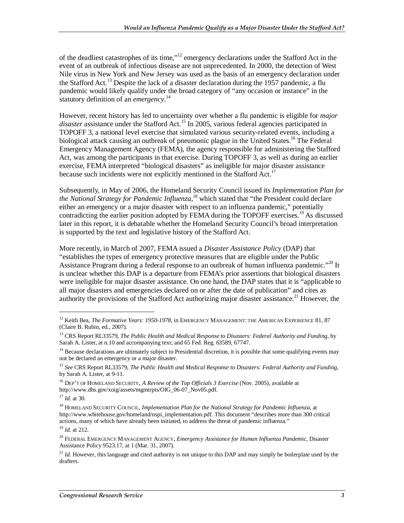of the deadliest catastrophes of its time,"<sup>12</sup> emergency declarations under the Stafford Act in the event of an outbreak of infectious disease are not unprecedented. In 2000, the detection of West Nile virus in New York and New Jersey was used as the basis of an emergency declaration under the Stafford Act.<sup>13</sup> Despite the lack of a disaster declaration during the 1957 pandemic, a flu pandemic would likely qualify under the broad category of "any occasion or instance" in the statutory definition of an *emergency*. 14

However, recent history has led to uncertainty over whether a flu pandemic is eligible for *major*  disaster assistance under the Stafford Act.<sup>15</sup> In 2005, various federal agencies participated in TOPOFF 3, a national level exercise that simulated various security-related events, including a biological attack causing an outbreak of pneumonic plague in the United States.<sup>16</sup> The Federal Emergency Management Agency (FEMA), the agency responsible for administering the Stafford Act, was among the participants in that exercise. During TOPOFF 3, as well as during an earlier exercise, FEMA interpreted "biological disasters" as ineligible for major disaster assistance because such incidents were not explicitly mentioned in the Stafford Act.<sup>17</sup>

Subsequently, in May of 2006, the Homeland Security Council issued its *Implementation Plan for the National Strategy for Pandemic Influenza*, 18 which stated that "the President could declare either an emergency or a major disaster with respect to an influenza pandemic," potentially contradicting the earlier position adopted by FEMA during the TOPOFF exercises.<sup>19</sup> As discussed later in this report, it is debatable whether the Homeland Security Council's broad interpretation is supported by the text and legislative history of the Stafford Act.

More recently, in March of 2007, FEMA issued a *Disaster Assistance Policy* (DAP) that "establishes the types of emergency protective measures that are eligible under the Public Assistance Program during a federal response to an outbreak of human influenza pandemic."<sup>20</sup> It is unclear whether this DAP is a departure from FEMA's prior assertions that biological disasters were ineligible for major disaster assistance. On one hand, the DAP states that it is "applicable to all major disasters and emergencies declared on or after the date of publication" and cites as authority the provisions of the Stafford Act authorizing major disaster assistance.<sup>21</sup> However, the

<u>.</u>

<sup>&</sup>lt;sup>12</sup> Keith Bea, *The Formative Years: 1950-1978*, in EMERGENCY MANAGEMENT: THE AMERICAN EXPERIENCE 81, 87 (Claire B. Rubin, ed., 2007).

<sup>&</sup>lt;sup>13</sup> CRS Report RL33579, *The Public Health and Medical Response to Disasters: Federal Authority and Funding*, by Sarah A. Lister, at n.10 and accompanying text; and 65 Fed. Reg. 63589, 67747.

<sup>&</sup>lt;sup>14</sup> Because declarations are ultimately subject to Presidential discretion, it is possible that some qualifying events may not be declared an emergency or a major disaster.

<sup>15</sup> *See* CRS Report RL33579, *The Public Health and Medical Response to Disasters: Federal Authority and Funding*, by Sarah A. Lister, at 9-11.

<sup>16</sup> DEP'T OF HOMELAND SECURITY, *A Review of the Top Officials 3 Exercise* (Nov. 2005), available at http://www.dhs.gov/xoig/assets/mgmtrpts/OIG\_06-07\_Nov05.pdf.

<sup>17</sup> *Id.* at 30.

<sup>18</sup> HOMELAND SECURITY COUNCIL, *Implementation Plan for the National Strategy for Pandemic Influenza*, at http://www.whitehouse.gov/homeland/nspi\_implementation.pdf. This document "describes more than 300 critical actions, many of which have already been initiated, to address the threat of pandemic influenza."

<sup>19</sup> *Id.* at 212.

<sup>20</sup> FEDERAL EMERGENCY MANAGEMENT AGENCY, *Emergency Assistance for Human Influenza Pandemic*, Disaster Assistance Policy 9523.17, at 1 (Mar. 31, 2007).

<sup>&</sup>lt;sup>21</sup> *Id.* However, this language and cited authority is not unique to this DAP and may simply be boilerplate used by the drafters.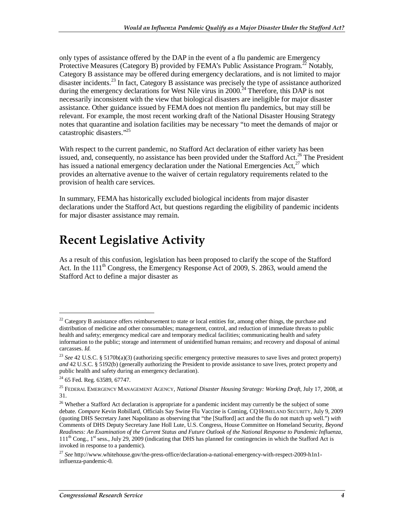only types of assistance offered by the DAP in the event of a flu pandemic are Emergency Protective Measures (Category B) provided by FEMA's Public Assistance Program.<sup>22</sup> Notably, Category B assistance may be offered during emergency declarations, and is not limited to major disaster incidents.<sup>23</sup> In fact, Category B assistance was precisely the type of assistance authorized during the emergency declarations for West Nile virus in 2000.<sup>24</sup> Therefore, this DAP is not necessarily inconsistent with the view that biological disasters are ineligible for major disaster assistance. Other guidance issued by FEMA does not mention flu pandemics, but may still be relevant. For example, the most recent working draft of the National Disaster Housing Strategy notes that quarantine and isolation facilities may be necessary "to meet the demands of major or catastrophic disasters."25

With respect to the current pandemic, no Stafford Act declaration of either variety has been issued, and, consequently, no assistance has been provided under the Stafford Act.<sup>26</sup> The President has issued a national emergency declaration under the National Emergencies Act, $^{27}$  which provides an alternative avenue to the waiver of certain regulatory requirements related to the provision of health care services.

In summary, FEMA has historically excluded biological incidents from major disaster declarations under the Stafford Act, but questions regarding the eligibility of pandemic incidents for major disaster assistance may remain.

# **Recent Legislative Activity**

As a result of this confusion, legislation has been proposed to clarify the scope of the Stafford Act. In the  $111<sup>th</sup>$  Congress, the Emergency Response Act of 2009, S. 2863, would amend the Stafford Act to define a major disaster as

 $22$  Category B assistance offers reimbursement to state or local entities for, among other things, the purchase and distribution of medicine and other consumables; management, control, and reduction of immediate threats to public health and safety; emergency medical care and temporary medical facilities; communicating health and safety information to the public; storage and internment of unidentified human remains; and recovery and disposal of animal carcasses. *Id.*

<sup>&</sup>lt;sup>23</sup> See 42 U.S.C. § 5170b(a)(3) (authorizing specific emergency protective measures to save lives and protect property) *and* 42 U.S.C. § 5192(b) (generally authorizing the President to provide assistance to save lives, protect property and public health and safety during an emergency declaration).

 $24$  65 Fed. Reg. 63589, 67747.

<sup>25</sup> FEDERAL EMERGENCY MANAGEMENT AGENCY, *National Disaster Housing Strategy: Working Draft*, July 17, 2008, at 31.

<sup>&</sup>lt;sup>26</sup> Whether a Stafford Act declaration is appropriate for a pandemic incident may currently be the subject of some debate. *Compare* Kevin Robillard, Officials Say Swine Flu Vaccine is Coming, CQ HOMELAND SECURITY, July 9, 2009 (quoting DHS Secretary Janet Napolitano as observing that "the [Stafford] act and the flu do not match up well.") *with* Comments of DHS Deputy Secretary Jane Holl Lute, U.S. Congress, House Committee on Homeland Security, *Beyond Readiness: An Examination of the Current Status and Future Outlook of the National Response to Pandemic Influenza*,  $111<sup>th</sup>$  Cong., 1<sup>st</sup> sess., July 29, 2009 (indicating that DHS has planned for contingencies in which the Stafford Act is invoked in response to a pandemic).

<sup>27</sup> *See* http://www.whitehouse.gov/the-press-office/declaration-a-national-emergency-with-respect-2009-h1n1 influenza-pandemic-0*.*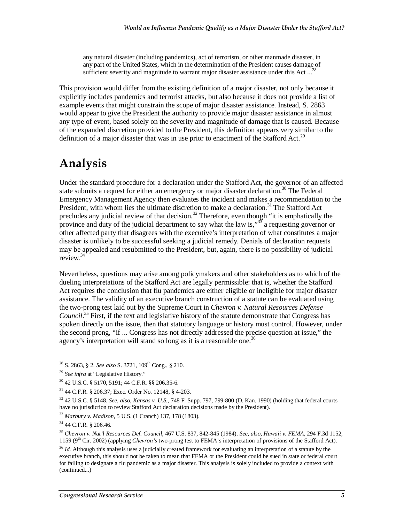any natural disaster (including pandemics), act of terrorism, or other manmade disaster, in any part of the United States, which in the determination of the President causes damage of sufficient severity and magnitude to warrant major disaster assistance under this Act ...<sup>28</sup>

This provision would differ from the existing definition of a major disaster, not only because it explicitly includes pandemics and terrorist attacks, but also because it does not provide a list of example events that might constrain the scope of major disaster assistance. Instead, S. 2863 would appear to give the President the authority to provide major disaster assistance in almost any type of event, based solely on the severity and magnitude of damage that is caused. Because of the expanded discretion provided to the President, this definition appears very similar to the definition of a major disaster that was in use prior to enactment of the Stafford Act.<sup>29</sup>

# **Analysis**

Under the standard procedure for a declaration under the Stafford Act, the governor of an affected state submits a request for either an emergency or major disaster declaration.<sup>30</sup> The Federal Emergency Management Agency then evaluates the incident and makes a recommendation to the President, with whom lies the ultimate discretion to make a declaration.<sup>31</sup> The Stafford Act precludes any judicial review of that decision.<sup>32</sup> Therefore, even though "it is emphatically the province and duty of the judicial department to say what the law is,<sup>33</sup> a requesting governor or other affected party that disagrees with the executive's interpretation of what constitutes a major disaster is unlikely to be successful seeking a judicial remedy. Denials of declaration requests may be appealed and resubmitted to the President, but, again, there is no possibility of judicial review.<sup>34</sup>

Nevertheless, questions may arise among policymakers and other stakeholders as to which of the dueling interpretations of the Stafford Act are legally permissible: that is, whether the Stafford Act requires the conclusion that flu pandemics are either eligible or ineligible for major disaster assistance. The validity of an executive branch construction of a statute can be evaluated using the two-prong test laid out by the Supreme Court in *Chevron v. Natural Resources Defense Council*. 35 First, if the text and legislative history of the statute demonstrate that Congress has spoken directly on the issue, then that statutory language or history must control. However, under the second prong, "if ... Congress has not directly addressed the precise question at issue," the agency's interpretation will stand so long as it is a reasonable one.<sup>36</sup>

<sup>&</sup>lt;sup>28</sup> S. 2863, § 2. *See also* S. 3721, 109<sup>th</sup> Cong., § 210.

<sup>29</sup> *See infra* at "Legislative History."

<sup>30 42</sup> U.S.C. § 5170, 5191; 44 C.F.R. §§ 206.35-6.

<sup>31 44</sup> C.F.R. § 206.37; Exec. Order No. 12148, § 4-203.

<sup>32 42</sup> U.S.C. § 5148. *See*, *also*, *Kansas v. U.S.*, 748 F. Supp. 797, 799-800 (D. Kan. 1990) (holding that federal courts have no jurisdiction to review Stafford Act declaration decisions made by the President).

<sup>33</sup> *Marbury v. Madison*, 5 U.S. (1 Cranch) 137, 178 (1803).

<sup>34 44</sup> C.F.R. § 206.46.

<sup>35</sup> *Chevron v. Nat'l Resources Def. Council*, 467 U.S. 837, 842-845 (1984). *See*, *also*, *Hawaii v. FEMA*, 294 F.3d 1152, 1159 ( $9<sup>th</sup>$  Cir. 2002) (applying *Chevron's* two-prong test to FEMA's interpretation of provisions of the Stafford Act).

<sup>36</sup> *Id.* Although this analysis uses a judicially created framework for evaluating an interpretation of a statute by the executive branch, this should not be taken to mean that FEMA or the President could be sued in state or federal court for failing to designate a flu pandemic as a major disaster. This analysis is solely included to provide a context with (continued...)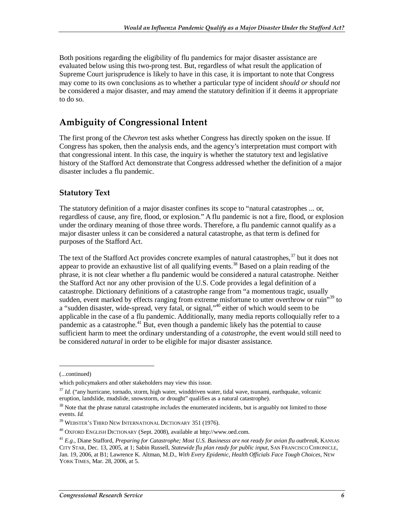Both positions regarding the eligibility of flu pandemics for major disaster assistance are evaluated below using this two-prong test. But, regardless of what result the application of Supreme Court jurisprudence is likely to have in this case, it is important to note that Congress may come to its own conclusions as to whether a particular type of incident *should or should not* be considered a major disaster, and may amend the statutory definition if it deems it appropriate to do so.

#### **Ambiguity of Congressional Intent**

The first prong of the *Chevron* test asks whether Congress has directly spoken on the issue. If Congress has spoken, then the analysis ends, and the agency's interpretation must comport with that congressional intent. In this case, the inquiry is whether the statutory text and legislative history of the Stafford Act demonstrate that Congress addressed whether the definition of a major disaster includes a flu pandemic.

#### **Statutory Text**

The statutory definition of a major disaster confines its scope to "natural catastrophes ... or, regardless of cause, any fire, flood, or explosion." A flu pandemic is not a fire, flood, or explosion under the ordinary meaning of those three words. Therefore, a flu pandemic cannot qualify as a major disaster unless it can be considered a natural catastrophe, as that term is defined for purposes of the Stafford Act.

The text of the Stafford Act provides concrete examples of natural catastrophes,<sup>37</sup> but it does not appear to provide an exhaustive list of all qualifying events.<sup>38</sup> Based on a plain reading of the phrase, it is not clear whether a flu pandemic would be considered a natural catastrophe. Neither the Stafford Act nor any other provision of the U.S. Code provides a legal definition of a catastrophe. Dictionary definitions of a catastrophe range from "a momentous tragic, usually sudden, event marked by effects ranging from extreme misfortune to utter overthrow or ruin<sup>339</sup> to a "sudden disaster, wide-spread, very fatal, or signal,"<sup>40</sup> either of which would seem to be applicable in the case of a flu pandemic. Additionally, many media reports colloquially refer to a pandemic as a catastrophe.<sup>41</sup> But, even though a pandemic likely has the potential to cause sufficient harm to meet the ordinary understanding of a *catastrophe*, the event would still need to be considered *natural* in order to be eligible for major disaster assistance.

<sup>(...</sup>continued)

which policymakers and other stakeholders may view this issue.

<sup>37</sup> *Id*. ("any hurricane, tornado, storm, high water, winddriven water, tidal wave, tsunami, earthquake, volcanic eruption, landslide, mudslide, snowstorm, or drought" qualifies as a natural catastrophe).

<sup>&</sup>lt;sup>38</sup> Note that the phrase natural catastrophe *includes* the enumerated incidents, but is arguably not limited to those events. *Id.*

<sup>39</sup> WEBSTER'S THIRD NEW INTERNATIONAL DICTIONARY 351 (1976).

<sup>40</sup> OXFORD ENGLISH DICTIONARY (Sept. 2008), available at http://www.oed.com.

<sup>41</sup> *E.g.*, Diane Stafford, *Preparing for Catastrophe; Most U.S. Businesss are not ready for avian flu outbreak*, KANSAS CITY STAR, Dec. 13, 2005, at 1; Sabin Russell, *Statewide flu plan ready for public input*, SAN FRANCISCO CHRONICLE, Jan. 19, 2006, at B1; Lawrence K. Altman, M.D., *With Every Epidemic, Health Officials Face Tough Choices*, NEW YORK TIMES, Mar. 28, 2006, at 5.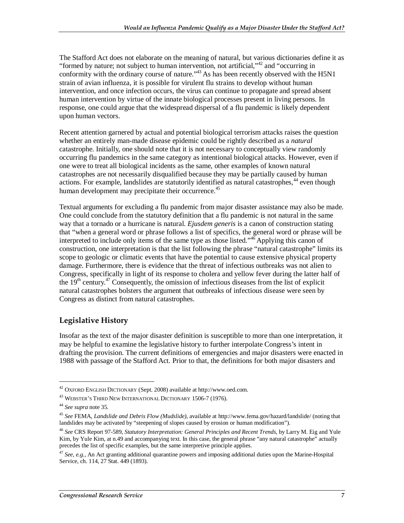The Stafford Act does not elaborate on the meaning of natural, but various dictionaries define it as "formed by nature; not subject to human intervention, not artificial,"42 and "occurring in conformity with the ordinary course of nature."<sup>43</sup> As has been recently observed with the H5N1 strain of avian influenza, it is possible for virulent flu strains to develop without human intervention, and once infection occurs, the virus can continue to propagate and spread absent human intervention by virtue of the innate biological processes present in living persons. In response, one could argue that the widespread dispersal of a flu pandemic is likely dependent upon human vectors.

Recent attention garnered by actual and potential biological terrorism attacks raises the question whether an entirely man-made disease epidemic could be rightly described as a *natural* catastrophe. Initially, one should note that it is not necessary to conceptually view randomly occurring flu pandemics in the same category as intentional biological attacks. However, even if one were to treat all biological incidents as the same, other examples of known natural catastrophes are not necessarily disqualified because they may be partially caused by human actions. For example, landslides are statutorily identified as natural catastrophes,<sup>44</sup> even though human development may precipitate their occurrence.<sup>45</sup>

Textual arguments for excluding a flu pandemic from major disaster assistance may also be made. One could conclude from the statutory definition that a flu pandemic is not natural in the same way that a tornado or a hurricane is natural. *Ejusdem generis* is a canon of construction stating that "when a general word or phrase follows a list of specifics, the general word or phrase will be interpreted to include only items of the same type as those listed." $4\overline{6}$  Applying this canon of construction, one interpretation is that the list following the phrase "natural catastrophe" limits its scope to geologic or climatic events that have the potential to cause extensive physical property damage. Furthermore, there is evidence that the threat of infectious outbreaks was not alien to Congress, specifically in light of its response to cholera and yellow fever during the latter half of the  $19<sup>th</sup>$  century.<sup>47</sup> Consequently, the omission of infectious diseases from the list of explicit natural catastrophes bolsters the argument that outbreaks of infectious disease were seen by Congress as distinct from natural catastrophes.

#### **Legislative History**

Insofar as the text of the major disaster definition is susceptible to more than one interpretation, it may be helpful to examine the legislative history to further interpolate Congress's intent in drafting the provision. The current definitions of emergencies and major disasters were enacted in 1988 with passage of the Stafford Act. Prior to that, the definitions for both major disasters and

 $42$  OXFORD ENGLISH DICTIONARY (Sept. 2008) available at http://www.oed.com.

<sup>&</sup>lt;sup>43</sup> WEBSTER'S THIRD NEW INTERNATIONAL DICTIONARY 1506-7 (1976).

<sup>44</sup> *See supra* note 35.

<sup>45</sup> *See* FEMA, *Landslide and Debris Flow (Mudslide)*, available at http://www.fema.gov/hazard/landslide/ (noting that landslides may be activated by "steepening of slopes caused by erosion or human modification").

<sup>46</sup> *See* CRS Report 97-589, *Statutory Interpretation: General Principles and Recent Trends*, by Larry M. Eig and Yule Kim, by Yule Kim, at n.49 and accompanying text. In this case, the general phrase "any natural catastrophe" actually precedes the list of specific examples, but the same interpretive principle applies.

<sup>47</sup> *See*, *e.g.*, An Act granting additional quarantine powers and imposing additional duties upon the Marine-Hospital Service, ch. 114, 27 Stat. 449 (1893).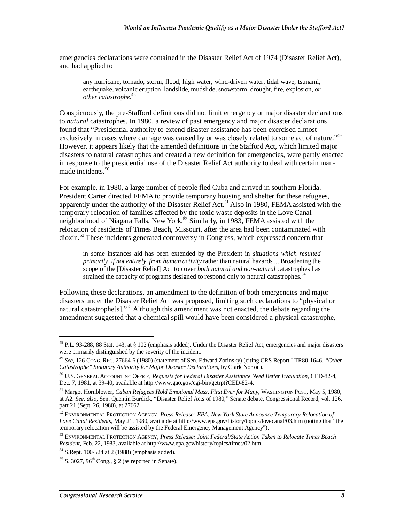emergencies declarations were contained in the Disaster Relief Act of 1974 (Disaster Relief Act), and had applied to

any hurricane, tornado, storm, flood, high water, wind-driven water, tidal wave, tsunami, earthquake, volcanic eruption, landslide, mudslide, snowstorm, drought, fire, explosion, *or other catastrophe*. 48

Conspicuously, the pre-Stafford definitions did not limit emergency or major disaster declarations to *natural* catastrophes. In 1980, a review of past emergency and major disaster declarations found that "Presidential authority to extend disaster assistance has been exercised almost exclusively in cases where damage was caused by or was closely related to some act of nature."49 However, it appears likely that the amended definitions in the Stafford Act, which limited major disasters to natural catastrophes and created a new definition for emergencies, were partly enacted in response to the presidential use of the Disaster Relief Act authority to deal with certain manmade incidents.<sup>50</sup>

For example, in 1980, a large number of people fled Cuba and arrived in southern Florida. President Carter directed FEMA to provide temporary housing and shelter for these refugees, apparently under the authority of the Disaster Relief Act.<sup>51</sup> Also in 1980, FEMA assisted with the temporary relocation of families affected by the toxic waste deposits in the Love Canal neighborhood of Niagara Falls, New York.<sup>52</sup> Similarly, in 1983, FEMA assisted with the relocation of residents of Times Beach, Missouri, after the area had been contaminated with dioxin.<sup>53</sup> These incidents generated controversy in Congress, which expressed concern that

in some instances aid has been extended by the President in *situations which resulted primarily, if not entirely, from human activity* rather than natural hazards.... Broadening the scope of the [Disaster Relief] Act to cover *both natural and non-natural* catastrophes has strained the capacity of programs designed to respond only to natural catastrophes.<sup>54</sup>

Following these declarations, an amendment to the definition of both emergencies and major disasters under the Disaster Relief Act was proposed, limiting such declarations to "physical or natural catastrophe<sup>[s]</sup>."<sup>55</sup> Although this amendment was not enacted, the debate regarding the amendment suggested that a chemical spill would have been considered a physical catastrophe,

<u>.</u>

<sup>48</sup> P.L. 93-288, 88 Stat. 143, at § 102 (emphasis added). Under the Disaster Relief Act, emergencies and major disasters were primarily distinguished by the severity of the incident.

<sup>49</sup> *See*, 126 CONG. REC. 27664-6 (1980) (statement of Sen. Edward Zorinsky) (citing CRS Report LTR80-1646, *"Other Catastrophe" Statutory Authority for Major Disaster Declarations*, by Clark Norton).

<sup>50</sup> U.S. GENERAL ACCOUNTING OFFICE, *Requests for Federal Disaster Assistance Need Better Evaluation*, CED-82-4, Dec. 7, 1981, at 39-40, available at http://www.gao.gov/cgi-bin/getrpt?CED-82-4.

<sup>51</sup> Margot Hornblower, *Cuban Refugees Hold Emotional Mass, First Ever for Many*, WASHINGTON POST, May 5, 1980, at A2. *See*, *also*, Sen. Quentin Burdick, "Disaster Relief Acts of 1980," Senate debate, Congressional Record, vol. 126, part 21 (Sept. 26, 1980), at 27662.

<sup>52</sup> ENVIRONMENTAL PROTECTION AGENCY, *Press Release: EPA, New York State Announce Temporary Relocation of Love Canal Residents*, May 21, 1980, available at http://www.epa.gov/history/topics/lovecanal/03.htm (noting that "the temporary relocation will be assisted by the Federal Emergency Management Agency").

<sup>53</sup> ENVIRONMENTAL PROTECTION AGENCY, *Press Release: Joint Federal/State Action Taken to Relocate Times Beach Resident*, Feb. 22, 1983, available at http://www.epa.gov/history/topics/times/02.htm.<br><sup>54</sup> S.Rept. 100-524 at 2 (1988) (emphasis added).

 $55$  S. 3027, 96<sup>th</sup> Cong., § 2 (as reported in Senate).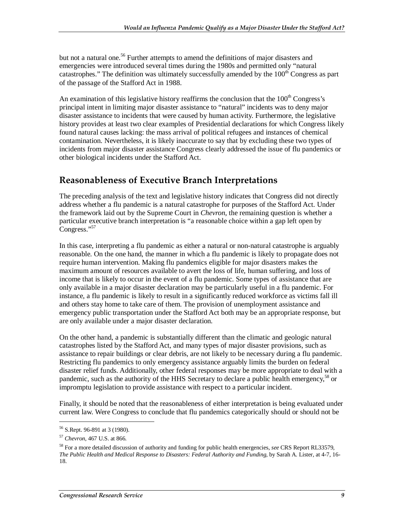but not a natural one.<sup>56</sup> Further attempts to amend the definitions of major disasters and emergencies were introduced several times during the 1980s and permitted only "natural catastrophes." The definition was ultimately successfully amended by the  $100<sup>th</sup>$  Congress as part of the passage of the Stafford Act in 1988.

An examination of this legislative history reaffirms the conclusion that the  $100<sup>th</sup>$  Congress's principal intent in limiting major disaster assistance to "natural" incidents was to deny major disaster assistance to incidents that were caused by human activity. Furthermore, the legislative history provides at least two clear examples of Presidential declarations for which Congress likely found natural causes lacking: the mass arrival of political refugees and instances of chemical contamination. Nevertheless, it is likely inaccurate to say that by excluding these two types of incidents from major disaster assistance Congress clearly addressed the issue of flu pandemics or other biological incidents under the Stafford Act.

#### **Reasonableness of Executive Branch Interpretations**

The preceding analysis of the text and legislative history indicates that Congress did not directly address whether a flu pandemic is a natural catastrophe for purposes of the Stafford Act. Under the framework laid out by the Supreme Court in *Chevron*, the remaining question is whether a particular executive branch interpretation is "a reasonable choice within a gap left open by Congress."<sup>57</sup>

In this case, interpreting a flu pandemic as either a natural or non-natural catastrophe is arguably reasonable. On the one hand, the manner in which a flu pandemic is likely to propagate does not require human intervention. Making flu pandemics eligible for major disasters makes the maximum amount of resources available to avert the loss of life, human suffering, and loss of income that is likely to occur in the event of a flu pandemic. Some types of assistance that are only available in a major disaster declaration may be particularly useful in a flu pandemic. For instance, a flu pandemic is likely to result in a significantly reduced workforce as victims fall ill and others stay home to take care of them. The provision of unemployment assistance and emergency public transportation under the Stafford Act both may be an appropriate response, but are only available under a major disaster declaration.

On the other hand, a pandemic is substantially different than the climatic and geologic natural catastrophes listed by the Stafford Act, and many types of major disaster provisions, such as assistance to repair buildings or clear debris, are not likely to be necessary during a flu pandemic. Restricting flu pandemics to only emergency assistance arguably limits the burden on federal disaster relief funds. Additionally, other federal responses may be more appropriate to deal with a pandemic, such as the authority of the HHS Secretary to declare a public health emergency,  $^{58}$  or impromptu legislation to provide assistance with respect to a particular incident.

Finally, it should be noted that the reasonableness of either interpretation is being evaluated under current law. Were Congress to conclude that flu pandemics categorically should or should not be

<sup>56</sup> S.Rept. 96-891 at 3 (1980).

<sup>57</sup> *Chevron*, 467 U.S. at 866.

<sup>58</sup> For a more detailed discussion of authority and funding for public health emergencies, *see* CRS Report RL33579, *The Public Health and Medical Response to Disasters: Federal Authority and Funding*, by Sarah A. Lister, at 4-7, 16- 18.